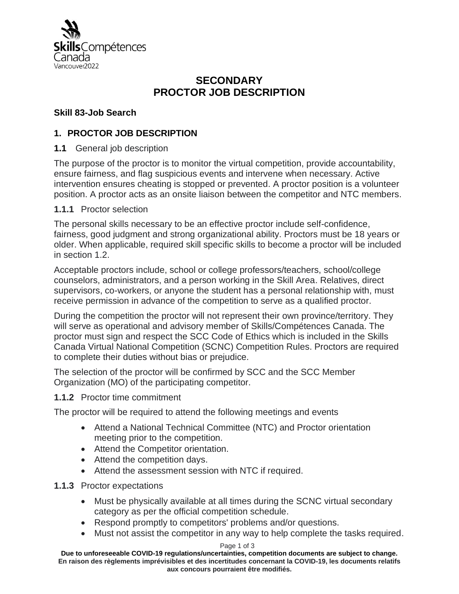

# **SECONDARY PROCTOR JOB DESCRIPTION**

### **Skill 83-Job Search**

### **1. PROCTOR JOB DESCRIPTION**

**1.1** General job description

The purpose of the proctor is to monitor the virtual competition, provide accountability, ensure fairness, and flag suspicious events and intervene when necessary. Active intervention ensures cheating is stopped or prevented. A proctor position is a volunteer position. A proctor acts as an onsite liaison between the competitor and NTC members.

### **1.1.1** Proctor selection

The personal skills necessary to be an effective proctor include self-confidence, fairness, good judgment and strong organizational ability. Proctors must be 18 years or older. When applicable, required skill specific skills to become a proctor will be included in section 1.2.

Acceptable proctors include, school or college professors/teachers, school/college counselors, administrators, and a person working in the Skill Area. Relatives, direct supervisors, co-workers, or anyone the student has a personal relationship with, must receive permission in advance of the competition to serve as a qualified proctor.

During the competition the proctor will not represent their own province/territory. They will serve as operational and advisory member of Skills/Compétences Canada. The proctor must sign and respect the SCC Code of Ethics which is included in the Skills Canada Virtual National Competition (SCNC) Competition Rules. Proctors are required to complete their duties without bias or prejudice.

The selection of the proctor will be confirmed by SCC and the SCC Member Organization (MO) of the participating competitor.

#### **1.1.2** Proctor time commitment

The proctor will be required to attend the following meetings and events

- Attend a National Technical Committee (NTC) and Proctor orientation meeting prior to the competition.
- Attend the Competitor orientation.
- Attend the competition days.
- Attend the assessment session with NTC if required.

#### **1.1.3** Proctor expectations

- Must be physically available at all times during the SCNC virtual secondary category as per the official competition schedule.
- Respond promptly to competitors' problems and/or questions.
- Must not assist the competitor in any way to help complete the tasks required.

#### Page 1 of 3

**Due to unforeseeable COVID-19 regulations/uncertainties, competition documents are subject to change. En raison des règlements imprévisibles et des incertitudes concernant la COVID-19, les documents relatifs aux concours pourraient être modifiés.**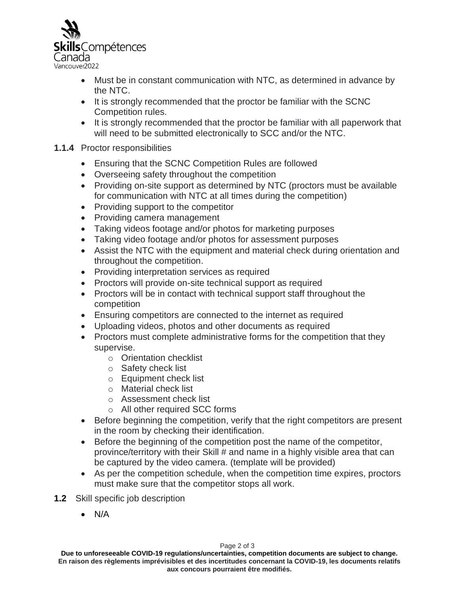

- Must be in constant communication with NTC, as determined in advance by the NTC.
- It is strongly recommended that the proctor be familiar with the SCNC Competition rules.
- It is strongly recommended that the proctor be familiar with all paperwork that will need to be submitted electronically to SCC and/or the NTC.

### **1.1.4** Proctor responsibilities

- Ensuring that the SCNC Competition Rules are followed
- Overseeing safety throughout the competition
- Providing on-site support as determined by NTC (proctors must be available for communication with NTC at all times during the competition)
- Providing support to the competitor
- Providing camera management
- Taking videos footage and/or photos for marketing purposes
- Taking video footage and/or photos for assessment purposes
- Assist the NTC with the equipment and material check during orientation and throughout the competition.
- Providing interpretation services as required
- Proctors will provide on-site technical support as required
- Proctors will be in contact with technical support staff throughout the competition
- Ensuring competitors are connected to the internet as required
- Uploading videos, photos and other documents as required
- Proctors must complete administrative forms for the competition that they supervise.
	- o Orientation checklist
	- o Safety check list
	- o Equipment check list
	- o Material check list
	- o Assessment check list
	- o All other required SCC forms
- Before beginning the competition, verify that the right competitors are present in the room by checking their identification.
- Before the beginning of the competition post the name of the competitor, province/territory with their Skill # and name in a highly visible area that can be captured by the video camera. (template will be provided)
- As per the competition schedule, when the competition time expires, proctors must make sure that the competitor stops all work.
- **1.2** Skill specific job description
	- N/A